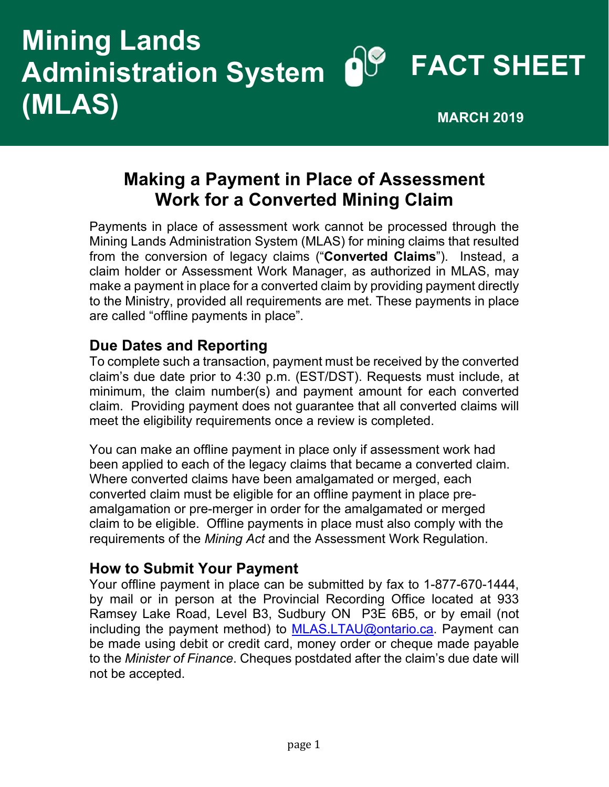## **Mining Lands**<br>Administration System **Nº FACT SHEET Administration System (MLAS) MEAS**

## **Making a Payment in Place of Assessment Work for a Converted Mining Claim**

Payments in place of assessment work cannot be processed through the Mining Lands Administration System (MLAS) for mining claims that resulted from the conversion of legacy claims ("**Converted Claims**"). Instead, a claim holder or Assessment Work Manager, as authorized in MLAS, may make a payment in place for a converted claim by providing payment directly to the Ministry, provided all requirements are met. These payments in place are called "offline payments in place".

## **Due Dates and Reporting**

To complete such a transaction, payment must be received by the converted claim's due date prior to 4:30 p.m. (EST/DST). Requests must include, at minimum, the claim number(s) and payment amount for each converted claim. Providing payment does not guarantee that all converted claims will meet the eligibility requirements once a review is completed.

You can make an offline payment in place only if assessment work had been applied to each of the legacy claims that became a converted claim. Where converted claims have been amalgamated or merged, each converted claim must be eligible for an offline payment in place preamalgamation or pre-merger in order for the amalgamated or merged claim to be eligible. Offline payments in place must also comply with the requirements of the *Mining Act* and the Assessment Work Regulation.

## **How to Submit Your Payment**

Your offline payment in place can be submitted by fax to 1-877-670-1444, by mail or in person at the Provincial Recording Office located at 933 Ramsey Lake Road, Level B3, Sudbury ON P3E 6B5, or by email (not including the payment method) to MLAS.LTAU@ontario.ca. Payment can be made using debit or credit card, money order or cheque made payable to the *Minister of Finance*. Cheques postdated after the claim's due date will not be accepted.